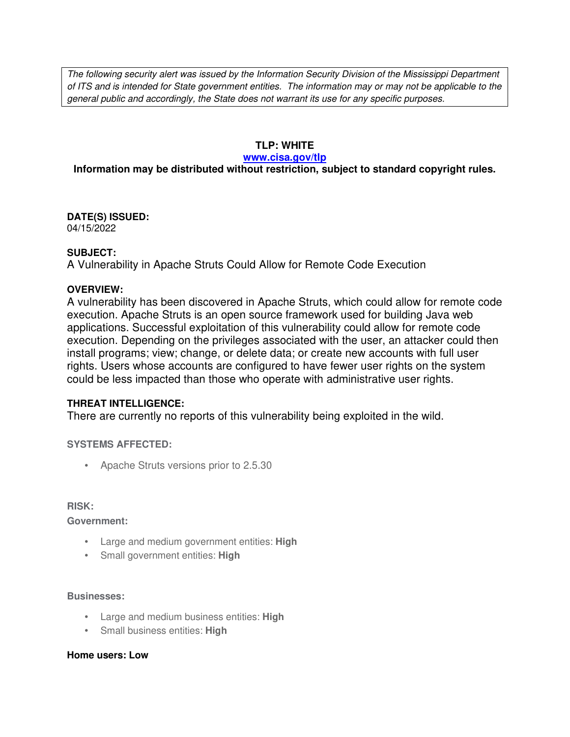The following security alert was issued by the Information Security Division of the Mississippi Department of ITS and is intended for State government entities. The information may or may not be applicable to the general public and accordingly, the State does not warrant its use for any specific purposes.

## **TLP: WHITE**

#### **www.cisa.gov/tlp**

# **Information may be distributed without restriction, subject to standard copyright rules.**

**DATE(S) ISSUED:** 04/15/2022

### **SUBJECT:**

A Vulnerability in Apache Struts Could Allow for Remote Code Execution

### **OVERVIEW:**

A vulnerability has been discovered in Apache Struts, which could allow for remote code execution. Apache Struts is an open source framework used for building Java web applications. Successful exploitation of this vulnerability could allow for remote code execution. Depending on the privileges associated with the user, an attacker could then install programs; view; change, or delete data; or create new accounts with full user rights. Users whose accounts are configured to have fewer user rights on the system could be less impacted than those who operate with administrative user rights.

## **THREAT INTELLIGENCE:**

There are currently no reports of this vulnerability being exploited in the wild.

**SYSTEMS AFFECTED:**

• Apache Struts versions prior to 2.5.30

#### **RISK:**

**Government:**

- Large and medium government entities: **High**
- Small government entities: **High**

#### **Businesses:**

- Large and medium business entities: **High**
- Small business entities: **High**

#### **Home users: Low**